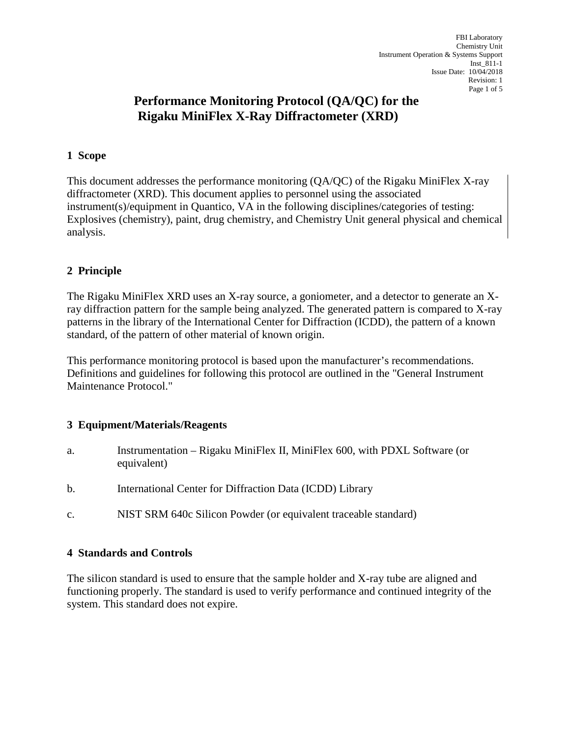# **Performance Monitoring Protocol (QA/QC) for the Rigaku MiniFlex X-Ray Diffractometer (XRD)**

## **1 Scope**

This document addresses the performance monitoring (QA/QC) of the Rigaku MiniFlex X-ray diffractometer (XRD). This document applies to personnel using the associated instrument(s)/equipment in Quantico, VA in the following disciplines/categories of testing: Explosives (chemistry), paint, drug chemistry, and Chemistry Unit general physical and chemical analysis.

# **2 Principle**

The Rigaku MiniFlex XRD uses an X-ray source, a goniometer, and a detector to generate an Xray diffraction pattern for the sample being analyzed. The generated pattern is compared to X-ray patterns in the library of the International Center for Diffraction (ICDD), the pattern of a known standard, of the pattern of other material of known origin.

This performance monitoring protocol is based upon the manufacturer's recommendations. Definitions and guidelines for following this protocol are outlined in the "General Instrument Maintenance Protocol."

#### **3 Equipment/Materials/Reagents**

- a. Instrumentation Rigaku MiniFlex II, MiniFlex 600, with PDXL Software (or equivalent)
- b. International Center for Diffraction Data (ICDD) Library
- c. NIST SRM 640c Silicon Powder (or equivalent traceable standard)

#### **4 Standards and Controls**

The silicon standard is used to ensure that the sample holder and X-ray tube are aligned and functioning properly. The standard is used to verify performance and continued integrity of the system. This standard does not expire.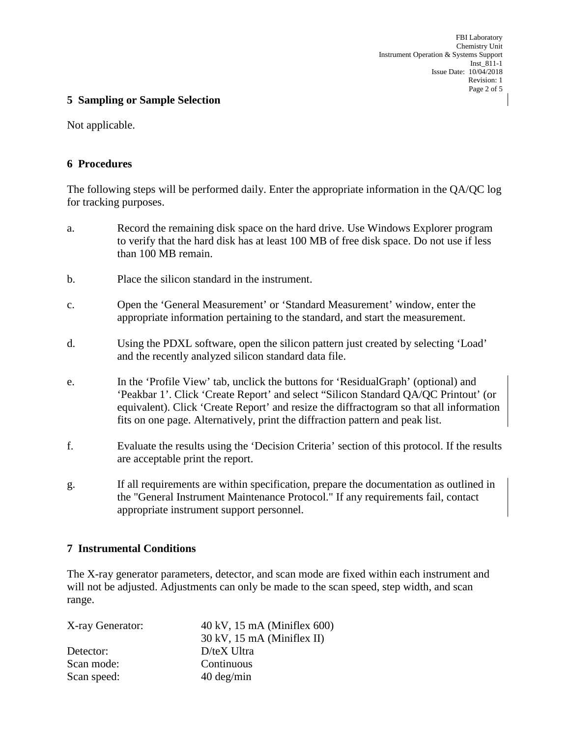#### **5 Sampling or Sample Selection**

Not applicable.

#### **6 Procedures**

The following steps will be performed daily. Enter the appropriate information in the QA/QC log for tracking purposes.

- a. Record the remaining disk space on the hard drive. Use Windows Explorer program to verify that the hard disk has at least 100 MB of free disk space. Do not use if less than 100 MB remain.
- b. Place the silicon standard in the instrument.
- c. Open the 'General Measurement' or 'Standard Measurement' window, enter the appropriate information pertaining to the standard, and start the measurement.
- d. Using the PDXL software, open the silicon pattern just created by selecting 'Load' and the recently analyzed silicon standard data file.
- e. In the 'Profile View' tab, unclick the buttons for 'ResidualGraph' (optional) and 'Peakbar 1'. Click 'Create Report' and select "Silicon Standard QA/QC Printout' (or equivalent). Click 'Create Report' and resize the diffractogram so that all information fits on one page. Alternatively, print the diffraction pattern and peak list.
- f. Evaluate the results using the 'Decision Criteria' section of this protocol. If the results are acceptable print the report.
- g. If all requirements are within specification, prepare the documentation as outlined in the "General Instrument Maintenance Protocol." If any requirements fail, contact appropriate instrument support personnel.

#### **7 Instrumental Conditions**

The X-ray generator parameters, detector, and scan mode are fixed within each instrument and will not be adjusted. Adjustments can only be made to the scan speed, step width, and scan range.

| X-ray Generator: | $40 \text{ kV}$ , 15 mA (Miniflex 600) |  |  |
|------------------|----------------------------------------|--|--|
|                  | $30 \text{ kV}$ , 15 mA (Miniflex II)  |  |  |
| Detector:        | $D$ /teX Ultra                         |  |  |
| Scan mode:       | Continuous                             |  |  |
| Scan speed:      | $40 \text{ deg/min}$                   |  |  |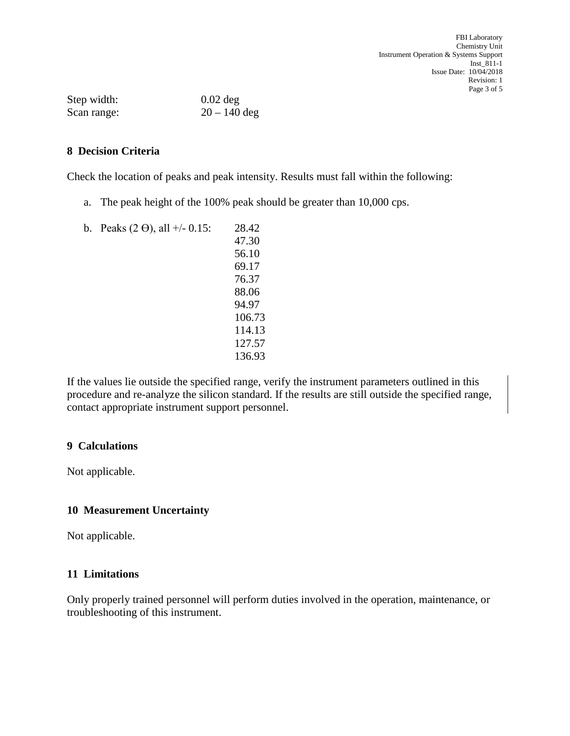| Step width: | $0.02$ deg     |  |
|-------------|----------------|--|
| Scan range: | $20 - 140$ deg |  |

## **8 Decision Criteria**

Check the location of peaks and peak intensity. Results must fall within the following:

- a. The peak height of the 100% peak should be greater than 10,000 cps.
- b. Peaks  $(2 \Theta)$ , all  $+/- 0.15$ : 28.42 47.30 56.10 69.17 76.37 88.06 94.97 106.73 114.13 127.57 136.93

If the values lie outside the specified range, verify the instrument parameters outlined in this procedure and re-analyze the silicon standard. If the results are still outside the specified range, contact appropriate instrument support personnel.

#### **9 Calculations**

Not applicable.

#### **10 Measurement Uncertainty**

Not applicable.

## **11 Limitations**

Only properly trained personnel will perform duties involved in the operation, maintenance, or troubleshooting of this instrument.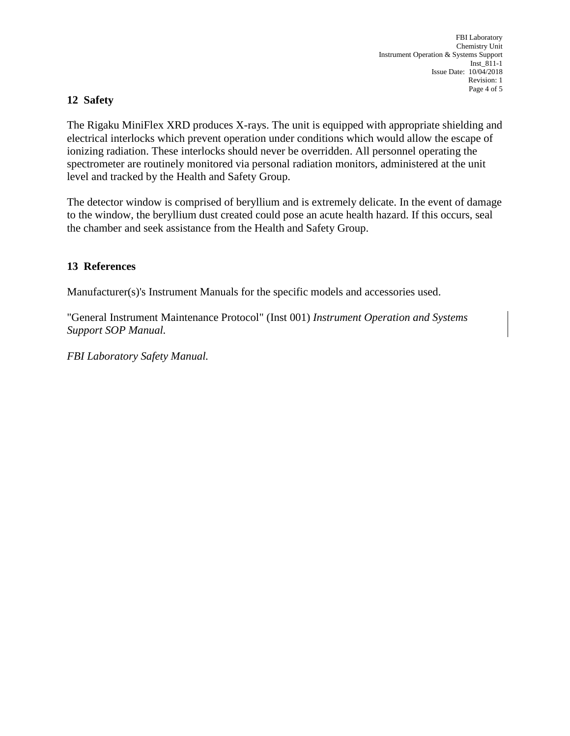# **12 Safety**

The Rigaku MiniFlex XRD produces X-rays. The unit is equipped with appropriate shielding and electrical interlocks which prevent operation under conditions which would allow the escape of ionizing radiation. These interlocks should never be overridden. All personnel operating the spectrometer are routinely monitored via personal radiation monitors, administered at the unit level and tracked by the Health and Safety Group.

The detector window is comprised of beryllium and is extremely delicate. In the event of damage to the window, the beryllium dust created could pose an acute health hazard. If this occurs, seal the chamber and seek assistance from the Health and Safety Group.

## **13 References**

Manufacturer(s)'s Instrument Manuals for the specific models and accessories used.

"General Instrument Maintenance Protocol" (Inst 001) *Instrument Operation and Systems Support SOP Manual.*

*FBI Laboratory Safety Manual.*